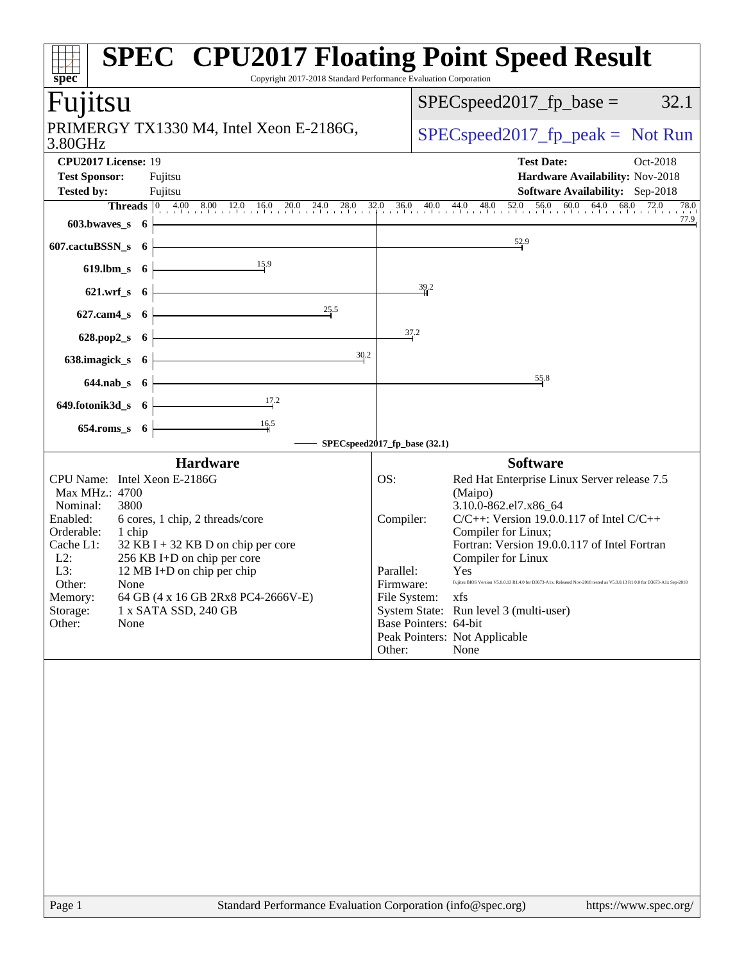| spec®                                                                                                                                                                                           |                                                                                                                                         | Copyright 2017-2018 Standard Performance Evaluation Corporation            |                                                                                               | <b>SPEC<sup>®</sup> CPU2017 Floating Point Speed Result</b>                                                                                                                                                                                                                                                                                                                                                                                                                          |
|-------------------------------------------------------------------------------------------------------------------------------------------------------------------------------------------------|-----------------------------------------------------------------------------------------------------------------------------------------|----------------------------------------------------------------------------|-----------------------------------------------------------------------------------------------|--------------------------------------------------------------------------------------------------------------------------------------------------------------------------------------------------------------------------------------------------------------------------------------------------------------------------------------------------------------------------------------------------------------------------------------------------------------------------------------|
| Fujitsu                                                                                                                                                                                         |                                                                                                                                         |                                                                            |                                                                                               | 32.1<br>$SPEC speed2017fp base =$                                                                                                                                                                                                                                                                                                                                                                                                                                                    |
| PRIMERGY TX1330 M4, Intel Xeon E-2186G,<br>3.80GHz                                                                                                                                              |                                                                                                                                         |                                                                            |                                                                                               | $SPEC speed2017fr peak = Not Run$                                                                                                                                                                                                                                                                                                                                                                                                                                                    |
| CPU2017 License: 19<br><b>Test Sponsor:</b><br><b>Tested by:</b><br>$603.bwaves$ 6                                                                                                              | Fujitsu<br>Fujitsu                                                                                                                      |                                                                            |                                                                                               | <b>Test Date:</b><br>Oct-2018<br>Hardware Availability: Nov-2018<br><b>Software Availability:</b> Sep-2018<br><b>Threads</b> $\begin{bmatrix} 0 & 4.00 & 8.00 & 12.0 & 16.0 & 20.0 & 24.0 & 28.0 & 32.0 & 36.0 & 40.0 & 44.0 & 48.0 & 52.0 & 56.0 & 60.0 & 64.0 & 68.0 & 72.0 \\ 0 & 0 & 0 & 0 & 0 & 0 & 0 & 0 & 0 & 0 \\ 0 & 0 & 0 & 0 & 0 & 0 & 0 & 0 & 0 \\ 0 & 0 & 0 & 0 & 0 & 0 & 0 & 0 & 0 \\ 0 & 0 & 0 &$<br>78.0<br>77.9                                                     |
| 607.cactuBSSN_s 6                                                                                                                                                                               |                                                                                                                                         |                                                                            |                                                                                               | $\frac{52.9}{4}$                                                                                                                                                                                                                                                                                                                                                                                                                                                                     |
| $619$ .lbm_s<br>$621.wrf$ <sub>S</sub>                                                                                                                                                          | - 6<br>- 6                                                                                                                              | 15.9                                                                       | 39.2                                                                                          |                                                                                                                                                                                                                                                                                                                                                                                                                                                                                      |
| 627.cam4_s                                                                                                                                                                                      | - 6                                                                                                                                     | 25.5                                                                       |                                                                                               |                                                                                                                                                                                                                                                                                                                                                                                                                                                                                      |
| 628.pop2_s<br>638.imagick_s                                                                                                                                                                     | 6 <sup>1</sup><br>- 6                                                                                                                   | 30.2                                                                       | 37.2                                                                                          |                                                                                                                                                                                                                                                                                                                                                                                                                                                                                      |
| $644$ .nab $s$ 6                                                                                                                                                                                |                                                                                                                                         |                                                                            |                                                                                               | 55.8                                                                                                                                                                                                                                                                                                                                                                                                                                                                                 |
| 649.fotonik3d_s 6<br>654.roms_s 6                                                                                                                                                               |                                                                                                                                         | 17.2<br>$\frac{16.5}{ }$                                                   |                                                                                               |                                                                                                                                                                                                                                                                                                                                                                                                                                                                                      |
|                                                                                                                                                                                                 |                                                                                                                                         |                                                                            | SPECspeed2017_fp_base (32.1)                                                                  |                                                                                                                                                                                                                                                                                                                                                                                                                                                                                      |
| CPU Name: Intel Xeon E-2186G<br>Max MHz.: 4700<br>Nominal:<br>3800<br>Enabled:<br>Orderable:<br>1 chip<br>Cache L1:<br>$L2$ :<br>L3:<br>Other:<br>None<br>Memory:<br>Storage:<br>Other:<br>None | <b>Hardware</b><br>6 cores, 1 chip, 2 threads/core<br>256 KB I+D on chip per core<br>12 MB I+D on chip per chip<br>1 x SATA SSD, 240 GB | $32$ KB I + 32 KB D on chip per core<br>64 GB (4 x 16 GB 2Rx8 PC4-2666V-E) | OS:<br>Compiler:<br>Parallel:<br>Firmware:<br>File System:<br>Base Pointers: 64-bit<br>Other: | <b>Software</b><br>Red Hat Enterprise Linux Server release 7.5<br>(Maipo)<br>3.10.0-862.el7.x86_64<br>$C/C++$ : Version 19.0.0.117 of Intel $C/C++$<br>Compiler for Linux;<br>Fortran: Version 19.0.0.117 of Intel Fortran<br>Compiler for Linux<br><b>Yes</b><br>Fujitsu BIOS Version V5.0.0.13 R1.4.0 for D3673-A1x. Released Nov-2018 tested as V5.0.0.13 R1.0.0 for D3673-A1x Sep-2018<br>xfs<br>System State: Run level 3 (multi-user)<br>Peak Pointers: Not Applicable<br>None |
| Page 1                                                                                                                                                                                          |                                                                                                                                         | Standard Performance Evaluation Corporation (info@spec.org)                |                                                                                               | https://www.spec.org/                                                                                                                                                                                                                                                                                                                                                                                                                                                                |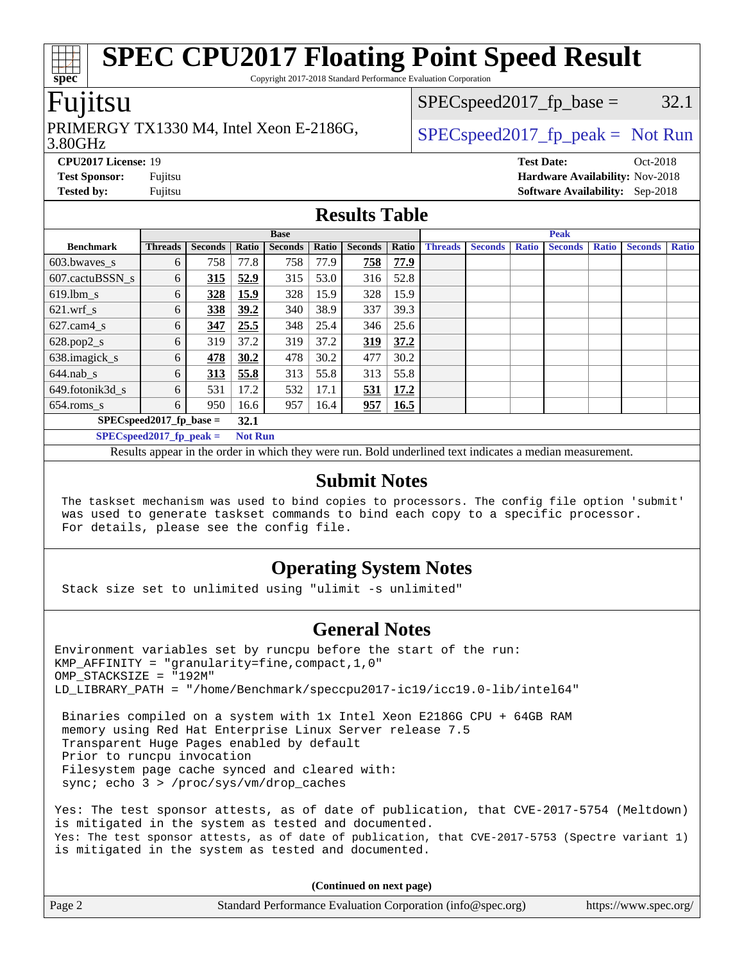Copyright 2017-2018 Standard Performance Evaluation Corporation

## Fujitsu

**[spec](http://www.spec.org/)**

### 3.80GHz PRIMERGY TX1330 M4, Intel Xeon E-2186G,  $\vert$  [SPECspeed2017\\_fp\\_peak =](http://www.spec.org/auto/cpu2017/Docs/result-fields.html#SPECspeed2017fppeak) Not Run

 $SPEC speed2017_fp\_base = 32.1$ 

**[CPU2017 License:](http://www.spec.org/auto/cpu2017/Docs/result-fields.html#CPU2017License)** 19 **[Test Date:](http://www.spec.org/auto/cpu2017/Docs/result-fields.html#TestDate)** Oct-2018 **[Test Sponsor:](http://www.spec.org/auto/cpu2017/Docs/result-fields.html#TestSponsor)** Fujitsu **[Hardware Availability:](http://www.spec.org/auto/cpu2017/Docs/result-fields.html#HardwareAvailability)** Nov-2018 **[Tested by:](http://www.spec.org/auto/cpu2017/Docs/result-fields.html#Testedby)** Fujitsu **[Software Availability:](http://www.spec.org/auto/cpu2017/Docs/result-fields.html#SoftwareAvailability)** Sep-2018

## **[Results Table](http://www.spec.org/auto/cpu2017/Docs/result-fields.html#ResultsTable)**

|                            | <b>Base</b>    |                |       |                | <b>Peak</b> |                |       |                |                |              |                |              |                |              |
|----------------------------|----------------|----------------|-------|----------------|-------------|----------------|-------|----------------|----------------|--------------|----------------|--------------|----------------|--------------|
| <b>Benchmark</b>           | <b>Threads</b> | <b>Seconds</b> | Ratio | <b>Seconds</b> | Ratio       | <b>Seconds</b> | Ratio | <b>Threads</b> | <b>Seconds</b> | <b>Ratio</b> | <b>Seconds</b> | <b>Ratio</b> | <b>Seconds</b> | <b>Ratio</b> |
| 603.bwayes_s               | 6              | 758            | 77.8  | 758            | 77.9        | 758            | 77.9  |                |                |              |                |              |                |              |
| 607.cactuBSSN s            | 6              | 315            | 52.9  | 315            | 53.0        | 316            | 52.8  |                |                |              |                |              |                |              |
| $619$ .lbm s               | 6              | 328            | 15.9  | 328            | 15.9        | 328            | 15.9  |                |                |              |                |              |                |              |
| $621$ .wrf s               | 6              | 338            | 39.2  | 340            | 38.9        | 337            | 39.3  |                |                |              |                |              |                |              |
| $627$ .cam $4 \text{ s}$   | 6              | 347            | 25.5  | 348            | 25.4        | 346            | 25.6  |                |                |              |                |              |                |              |
| $628.pop2_s$               | 6              | 319            | 37.2  | 319            | 37.2        | 319            | 37.2  |                |                |              |                |              |                |              |
| 638.imagick_s              | 6              | 478            | 30.2  | 478            | 30.2        | 477            | 30.2  |                |                |              |                |              |                |              |
| $644$ .nab s               | 6              | 313            | 55.8  | 313            | 55.8        | 313            | 55.8  |                |                |              |                |              |                |              |
| 649.fotonik3d s            | 6              | 531            | 17.2  | 532            | 17.1        | 531            | 17.2  |                |                |              |                |              |                |              |
| $654$ .roms s              | 6              | 950            | 16.6  | 957            | 16.4        | 957            | 16.5  |                |                |              |                |              |                |              |
| $SPECspeed2017_fp\_base =$ |                |                | 32.1  |                |             |                |       |                |                |              |                |              |                |              |
| $SPECspeed2017$ fp peak =  |                | <b>Not Run</b> |       |                |             |                |       |                |                |              |                |              |                |              |

Results appear in the [order in which they were run.](http://www.spec.org/auto/cpu2017/Docs/result-fields.html#RunOrder) Bold underlined text [indicates a median measurement.](http://www.spec.org/auto/cpu2017/Docs/result-fields.html#Median)

### **[Submit Notes](http://www.spec.org/auto/cpu2017/Docs/result-fields.html#SubmitNotes)**

 The taskset mechanism was used to bind copies to processors. The config file option 'submit' was used to generate taskset commands to bind each copy to a specific processor. For details, please see the config file.

## **[Operating System Notes](http://www.spec.org/auto/cpu2017/Docs/result-fields.html#OperatingSystemNotes)**

Stack size set to unlimited using "ulimit -s unlimited"

## **[General Notes](http://www.spec.org/auto/cpu2017/Docs/result-fields.html#GeneralNotes)**

Environment variables set by runcpu before the start of the run: KMP AFFINITY = "granularity=fine, compact,  $1,0$ " OMP\_STACKSIZE = "192M" LD\_LIBRARY\_PATH = "/home/Benchmark/speccpu2017-ic19/icc19.0-lib/intel64"

 Binaries compiled on a system with 1x Intel Xeon E2186G CPU + 64GB RAM memory using Red Hat Enterprise Linux Server release 7.5 Transparent Huge Pages enabled by default Prior to runcpu invocation Filesystem page cache synced and cleared with: sync; echo 3 > /proc/sys/vm/drop\_caches

Yes: The test sponsor attests, as of date of publication, that CVE-2017-5754 (Meltdown) is mitigated in the system as tested and documented. Yes: The test sponsor attests, as of date of publication, that CVE-2017-5753 (Spectre variant 1) is mitigated in the system as tested and documented.

**(Continued on next page)**

| Page 2 | Standard Performance Evaluation Corporation (info@spec.org) | https://www.spec.org/ |
|--------|-------------------------------------------------------------|-----------------------|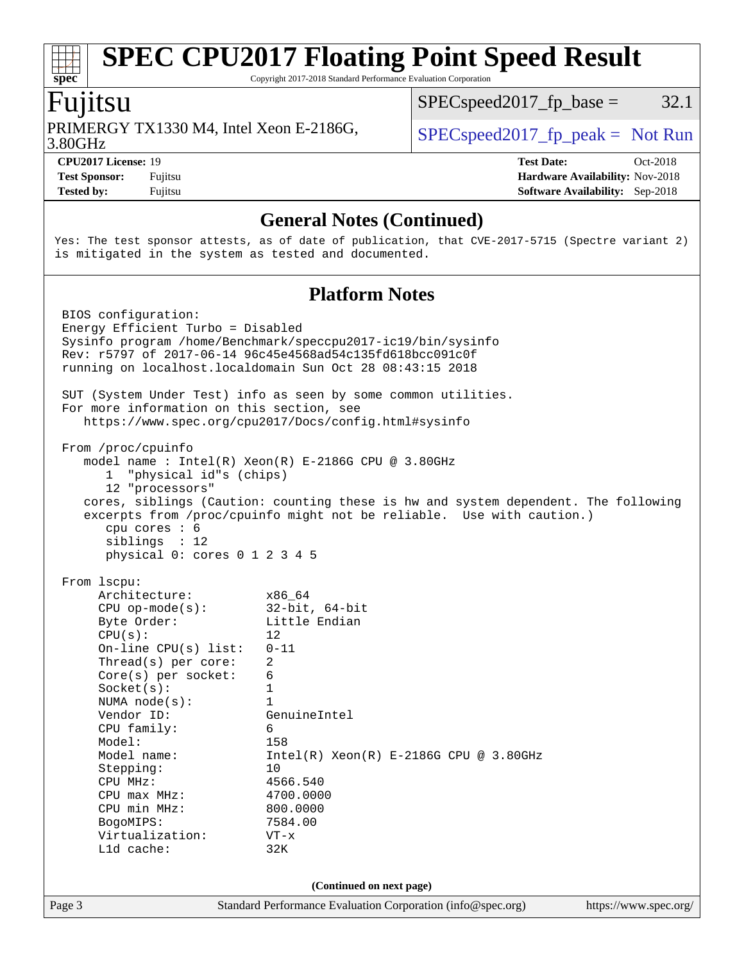Copyright 2017-2018 Standard Performance Evaluation Corporation

## Fujitsu

**[spec](http://www.spec.org/)**

3.80GHz PRIMERGY TX1330 M4, Intel Xeon E-2186G,  $\vert$  [SPECspeed2017\\_fp\\_peak =](http://www.spec.org/auto/cpu2017/Docs/result-fields.html#SPECspeed2017fppeak) Not Run

 $SPEC speed2017_fp\_base = 32.1$ 

**[Tested by:](http://www.spec.org/auto/cpu2017/Docs/result-fields.html#Testedby)** Fujitsu **[Software Availability:](http://www.spec.org/auto/cpu2017/Docs/result-fields.html#SoftwareAvailability)** Sep-2018

**[CPU2017 License:](http://www.spec.org/auto/cpu2017/Docs/result-fields.html#CPU2017License)** 19 **[Test Date:](http://www.spec.org/auto/cpu2017/Docs/result-fields.html#TestDate)** Oct-2018 **[Test Sponsor:](http://www.spec.org/auto/cpu2017/Docs/result-fields.html#TestSponsor)** Fujitsu **[Hardware Availability:](http://www.spec.org/auto/cpu2017/Docs/result-fields.html#HardwareAvailability)** Nov-2018

## **[General Notes \(Continued\)](http://www.spec.org/auto/cpu2017/Docs/result-fields.html#GeneralNotes)**

Yes: The test sponsor attests, as of date of publication, that CVE-2017-5715 (Spectre variant 2) is mitigated in the system as tested and documented.

## **[Platform Notes](http://www.spec.org/auto/cpu2017/Docs/result-fields.html#PlatformNotes)**

Page 3 Standard Performance Evaluation Corporation [\(info@spec.org\)](mailto:info@spec.org) <https://www.spec.org/> BIOS configuration: Energy Efficient Turbo = Disabled Sysinfo program /home/Benchmark/speccpu2017-ic19/bin/sysinfo Rev: r5797 of 2017-06-14 96c45e4568ad54c135fd618bcc091c0f running on localhost.localdomain Sun Oct 28 08:43:15 2018 SUT (System Under Test) info as seen by some common utilities. For more information on this section, see <https://www.spec.org/cpu2017/Docs/config.html#sysinfo> From /proc/cpuinfo model name : Intel(R) Xeon(R) E-2186G CPU @ 3.80GHz 1 "physical id"s (chips) 12 "processors" cores, siblings (Caution: counting these is hw and system dependent. The following excerpts from /proc/cpuinfo might not be reliable. Use with caution.) cpu cores : 6 siblings : 12 physical 0: cores 0 1 2 3 4 5 From lscpu: Architecture: x86\_64 CPU op-mode(s): 32-bit, 64-bit Byte Order: Little Endian  $CPU(s):$  12 On-line CPU(s) list: 0-11 Thread(s) per core: 2 Core(s) per socket: 6  $Sockets(s):$  1 NUMA node(s): 1 Vendor ID: GenuineIntel CPU family: 6 Model: 158 Model name:  $Intel(R)$  Xeon(R) E-2186G CPU @ 3.80GHz Stepping: 10 CPU MHz: 4566.540 CPU max MHz: 4700.0000 CPU min MHz: 800.0000 BogoMIPS: 7584.00 Virtualization: VT-x L1d cache: 32K **(Continued on next page)**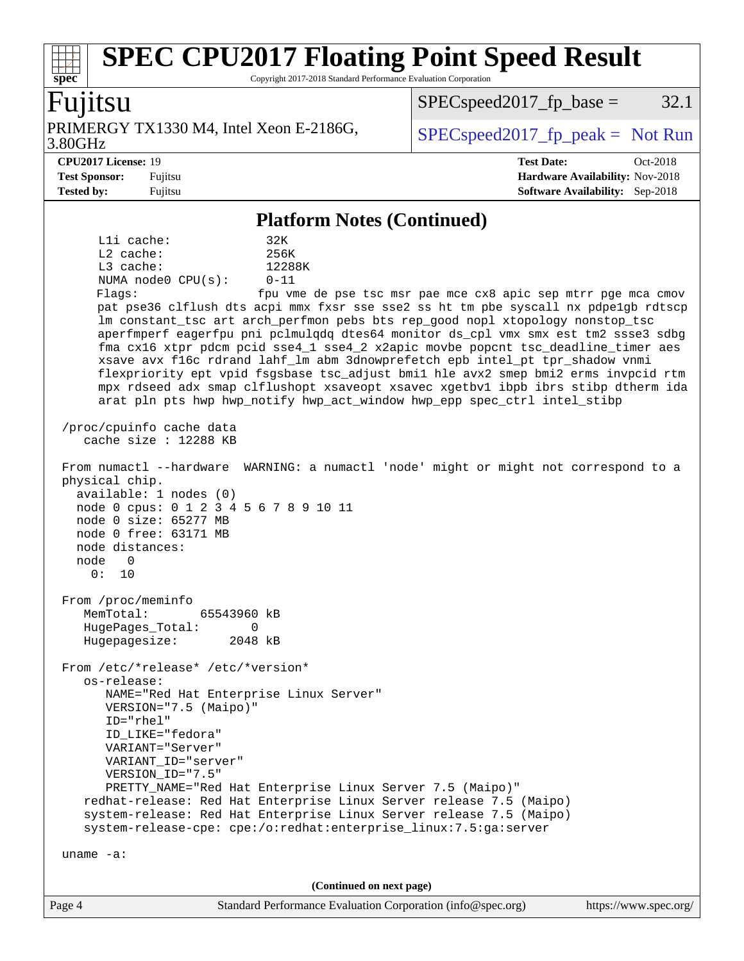Copyright 2017-2018 Standard Performance Evaluation Corporation

## Fujitsu

**[spec](http://www.spec.org/)**

3.80GHz PRIMERGY TX1330 M4, Intel Xeon E-2186G,  $\vert$  [SPECspeed2017\\_fp\\_peak =](http://www.spec.org/auto/cpu2017/Docs/result-fields.html#SPECspeed2017fppeak) Not Run

 $SPEC speed2017_fp\_base = 32.1$ 

**[CPU2017 License:](http://www.spec.org/auto/cpu2017/Docs/result-fields.html#CPU2017License)** 19 **[Test Date:](http://www.spec.org/auto/cpu2017/Docs/result-fields.html#TestDate)** Oct-2018 **[Test Sponsor:](http://www.spec.org/auto/cpu2017/Docs/result-fields.html#TestSponsor)** Fujitsu **[Hardware Availability:](http://www.spec.org/auto/cpu2017/Docs/result-fields.html#HardwareAvailability)** Nov-2018 **[Tested by:](http://www.spec.org/auto/cpu2017/Docs/result-fields.html#Testedby)** Fujitsu **[Software Availability:](http://www.spec.org/auto/cpu2017/Docs/result-fields.html#SoftwareAvailability)** Sep-2018

### **[Platform Notes \(Continued\)](http://www.spec.org/auto/cpu2017/Docs/result-fields.html#PlatformNotes)**

L1i cache: 32K L2 cache: 256K L3 cache: 12288K NUMA node0 CPU(s): 0-11 Flags: fpu vme de pse tsc msr pae mce cx8 apic sep mtrr pge mca cmov pat pse36 clflush dts acpi mmx fxsr sse sse2 ss ht tm pbe syscall nx pdpe1gb rdtscp lm constant\_tsc art arch\_perfmon pebs bts rep\_good nopl xtopology nonstop\_tsc aperfmperf eagerfpu pni pclmulqdq dtes64 monitor ds\_cpl vmx smx est tm2 ssse3 sdbg fma cx16 xtpr pdcm pcid sse4\_1 sse4\_2 x2apic movbe popcnt tsc\_deadline\_timer aes xsave avx f16c rdrand lahf\_lm abm 3dnowprefetch epb intel\_pt tpr\_shadow vnmi flexpriority ept vpid fsgsbase tsc\_adjust bmi1 hle avx2 smep bmi2 erms invpcid rtm mpx rdseed adx smap clflushopt xsaveopt xsavec xgetbv1 ibpb ibrs stibp dtherm ida arat pln pts hwp hwp\_notify hwp\_act\_window hwp\_epp spec\_ctrl intel\_stibp /proc/cpuinfo cache data cache size : 12288 KB From numactl --hardware WARNING: a numactl 'node' might or might not correspond to a physical chip. available: 1 nodes (0) node 0 cpus: 0 1 2 3 4 5 6 7 8 9 10 11 node 0 size: 65277 MB node 0 free: 63171 MB node distances: node 0 0: 10 From /proc/meminfo MemTotal: 65543960 kB HugePages\_Total: 0 Hugepagesize: 2048 kB From /etc/\*release\* /etc/\*version\* os-release: NAME="Red Hat Enterprise Linux Server" VERSION="7.5 (Maipo)" ID="rhel" ID\_LIKE="fedora" VARIANT="Server" VARIANT\_ID="server" VERSION\_ID="7.5" PRETTY\_NAME="Red Hat Enterprise Linux Server 7.5 (Maipo)" redhat-release: Red Hat Enterprise Linux Server release 7.5 (Maipo) system-release: Red Hat Enterprise Linux Server release 7.5 (Maipo) system-release-cpe: cpe:/o:redhat:enterprise\_linux:7.5:ga:server uname -a: **(Continued on next page)**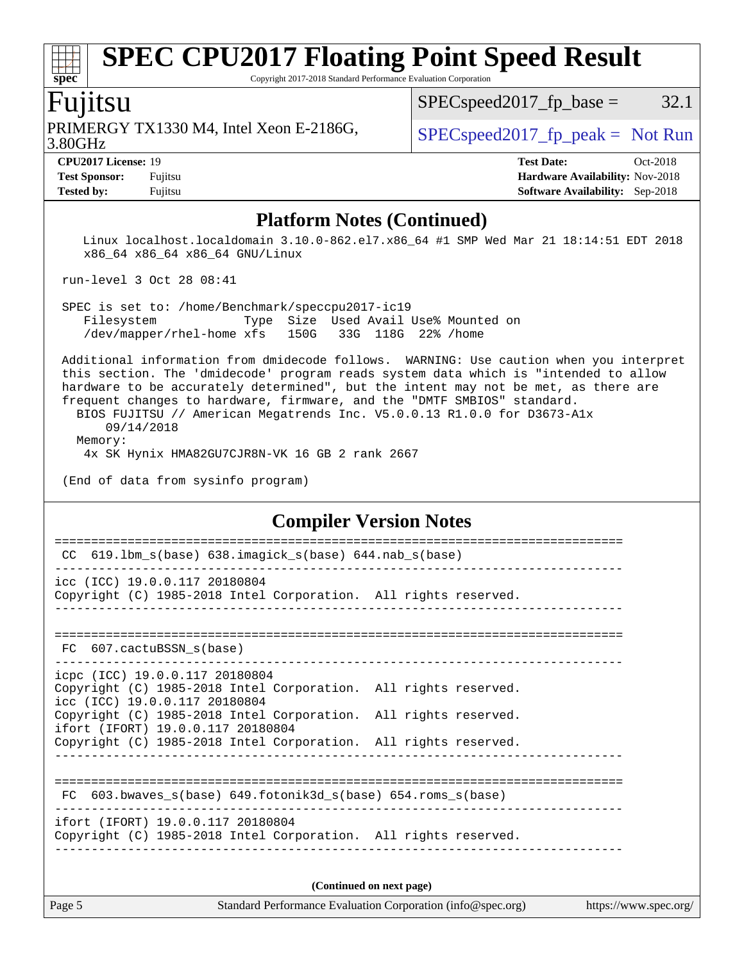Copyright 2017-2018 Standard Performance Evaluation Corporation

## Fujitsu

3.80GHz PRIMERGY TX1330 M4, Intel Xeon E-2186G,  $\vert$  [SPECspeed2017\\_fp\\_peak =](http://www.spec.org/auto/cpu2017/Docs/result-fields.html#SPECspeed2017fppeak) Not Run

 $SPEC speed2017_fp\_base = 32.1$ 

**[spec](http://www.spec.org/)**

**[Tested by:](http://www.spec.org/auto/cpu2017/Docs/result-fields.html#Testedby)** Fujitsu **[Software Availability:](http://www.spec.org/auto/cpu2017/Docs/result-fields.html#SoftwareAvailability)** Sep-2018

**[CPU2017 License:](http://www.spec.org/auto/cpu2017/Docs/result-fields.html#CPU2017License)** 19 **[Test Date:](http://www.spec.org/auto/cpu2017/Docs/result-fields.html#TestDate)** Oct-2018 **[Test Sponsor:](http://www.spec.org/auto/cpu2017/Docs/result-fields.html#TestSponsor)** Fujitsu **[Hardware Availability:](http://www.spec.org/auto/cpu2017/Docs/result-fields.html#HardwareAvailability)** Nov-2018

## **[Platform Notes \(Continued\)](http://www.spec.org/auto/cpu2017/Docs/result-fields.html#PlatformNotes)**

 Linux localhost.localdomain 3.10.0-862.el7.x86\_64 #1 SMP Wed Mar 21 18:14:51 EDT 2018 x86\_64 x86\_64 x86\_64 GNU/Linux

run-level 3 Oct 28 08:41

 SPEC is set to: /home/Benchmark/speccpu2017-ic19 Filesystem Type Size Used Avail Use% Mounted on /dev/mapper/rhel-home xfs 150G 33G 118G 22% /home

 Additional information from dmidecode follows. WARNING: Use caution when you interpret this section. The 'dmidecode' program reads system data which is "intended to allow hardware to be accurately determined", but the intent may not be met, as there are frequent changes to hardware, firmware, and the "DMTF SMBIOS" standard.

 BIOS FUJITSU // American Megatrends Inc. V5.0.0.13 R1.0.0 for D3673-A1x 09/14/2018 Memory:

4x SK Hynix HMA82GU7CJR8N-VK 16 GB 2 rank 2667

(End of data from sysinfo program)

### **[Compiler Version Notes](http://www.spec.org/auto/cpu2017/Docs/result-fields.html#CompilerVersionNotes)**

| 619.1bm_s(base) 638.imagick_s(base) 644.nab_s(base)<br>CC.                                                                                                              |
|-------------------------------------------------------------------------------------------------------------------------------------------------------------------------|
| icc (ICC) 19.0.0.117 20180804<br>Copyright (C) 1985-2018 Intel Corporation. All rights reserved.                                                                        |
| FC 607.cactuBSSN_s(base)                                                                                                                                                |
| icpc (ICC) 19.0.0.117 20180804<br>Copyright (C) 1985-2018 Intel Corporation. All rights reserved.<br>icc (ICC) 19.0.0.117 20180804                                      |
| Copyright (C) 1985-2018 Intel Corporation. All rights reserved.<br>ifort (IFORT) 19.0.0.117 20180804<br>Copyright (C) 1985-2018 Intel Corporation. All rights reserved. |
|                                                                                                                                                                         |
| 603.bwaves $s(base)$ 649.fotonik3d $s(base)$ 654.roms $s(base)$<br>FC                                                                                                   |
| ifort (IFORT) 19.0.0.117 20180804<br>Copyright (C) 1985-2018 Intel Corporation. All rights reserved.                                                                    |
| (Continued on next page)                                                                                                                                                |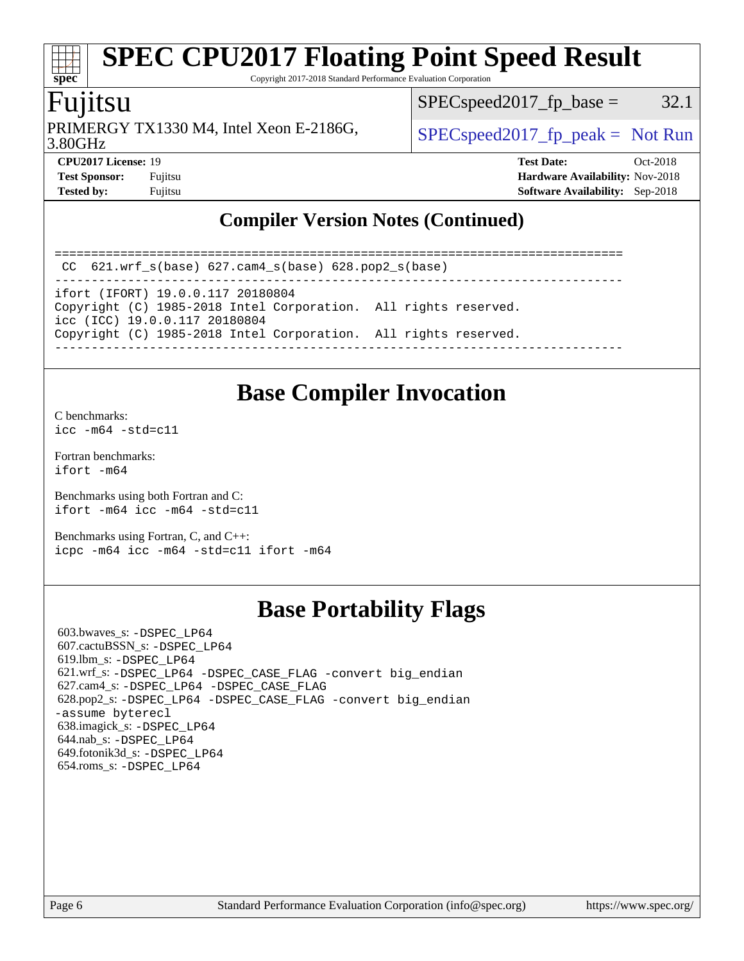Copyright 2017-2018 Standard Performance Evaluation Corporation

# Fujitsu

**[spec](http://www.spec.org/)**

3.80GHz PRIMERGY TX1330 M4, Intel Xeon E-2186G,  $\vert$  [SPECspeed2017\\_fp\\_peak =](http://www.spec.org/auto/cpu2017/Docs/result-fields.html#SPECspeed2017fppeak) Not Run

 $SPEC speed2017_f p\_base = 32.1$ 

**[CPU2017 License:](http://www.spec.org/auto/cpu2017/Docs/result-fields.html#CPU2017License)** 19 **[Test Date:](http://www.spec.org/auto/cpu2017/Docs/result-fields.html#TestDate)** Oct-2018 **[Test Sponsor:](http://www.spec.org/auto/cpu2017/Docs/result-fields.html#TestSponsor)** Fujitsu **[Hardware Availability:](http://www.spec.org/auto/cpu2017/Docs/result-fields.html#HardwareAvailability)** Nov-2018 **[Tested by:](http://www.spec.org/auto/cpu2017/Docs/result-fields.html#Testedby)** Fujitsu **[Software Availability:](http://www.spec.org/auto/cpu2017/Docs/result-fields.html#SoftwareAvailability)** Sep-2018

## **[Compiler Version Notes \(Continued\)](http://www.spec.org/auto/cpu2017/Docs/result-fields.html#CompilerVersionNotes)**

==============================================================================

 CC 621.wrf\_s(base) 627.cam4\_s(base) 628.pop2\_s(base) ------------------------------------------------------------------------------

ifort (IFORT) 19.0.0.117 20180804

Copyright (C) 1985-2018 Intel Corporation. All rights reserved. icc (ICC) 19.0.0.117 20180804

Copyright (C) 1985-2018 Intel Corporation. All rights reserved.

------------------------------------------------------------------------------

# **[Base Compiler Invocation](http://www.spec.org/auto/cpu2017/Docs/result-fields.html#BaseCompilerInvocation)**

[C benchmarks](http://www.spec.org/auto/cpu2017/Docs/result-fields.html#Cbenchmarks):  $icc - m64 - std = c11$ 

[Fortran benchmarks](http://www.spec.org/auto/cpu2017/Docs/result-fields.html#Fortranbenchmarks): [ifort -m64](http://www.spec.org/cpu2017/results/res2018q4/cpu2017-20181029-09353.flags.html#user_FCbase_intel_ifort_64bit_24f2bb282fbaeffd6157abe4f878425411749daecae9a33200eee2bee2fe76f3b89351d69a8130dd5949958ce389cf37ff59a95e7a40d588e8d3a57e0c3fd751)

[Benchmarks using both Fortran and C](http://www.spec.org/auto/cpu2017/Docs/result-fields.html#BenchmarksusingbothFortranandC): [ifort -m64](http://www.spec.org/cpu2017/results/res2018q4/cpu2017-20181029-09353.flags.html#user_CC_FCbase_intel_ifort_64bit_24f2bb282fbaeffd6157abe4f878425411749daecae9a33200eee2bee2fe76f3b89351d69a8130dd5949958ce389cf37ff59a95e7a40d588e8d3a57e0c3fd751) [icc -m64 -std=c11](http://www.spec.org/cpu2017/results/res2018q4/cpu2017-20181029-09353.flags.html#user_CC_FCbase_intel_icc_64bit_c11_33ee0cdaae7deeeab2a9725423ba97205ce30f63b9926c2519791662299b76a0318f32ddfffdc46587804de3178b4f9328c46fa7c2b0cd779d7a61945c91cd35)

[Benchmarks using Fortran, C, and C++:](http://www.spec.org/auto/cpu2017/Docs/result-fields.html#BenchmarksusingFortranCandCXX) [icpc -m64](http://www.spec.org/cpu2017/results/res2018q4/cpu2017-20181029-09353.flags.html#user_CC_CXX_FCbase_intel_icpc_64bit_4ecb2543ae3f1412ef961e0650ca070fec7b7afdcd6ed48761b84423119d1bf6bdf5cad15b44d48e7256388bc77273b966e5eb805aefd121eb22e9299b2ec9d9) [icc -m64 -std=c11](http://www.spec.org/cpu2017/results/res2018q4/cpu2017-20181029-09353.flags.html#user_CC_CXX_FCbase_intel_icc_64bit_c11_33ee0cdaae7deeeab2a9725423ba97205ce30f63b9926c2519791662299b76a0318f32ddfffdc46587804de3178b4f9328c46fa7c2b0cd779d7a61945c91cd35) [ifort -m64](http://www.spec.org/cpu2017/results/res2018q4/cpu2017-20181029-09353.flags.html#user_CC_CXX_FCbase_intel_ifort_64bit_24f2bb282fbaeffd6157abe4f878425411749daecae9a33200eee2bee2fe76f3b89351d69a8130dd5949958ce389cf37ff59a95e7a40d588e8d3a57e0c3fd751)

# **[Base Portability Flags](http://www.spec.org/auto/cpu2017/Docs/result-fields.html#BasePortabilityFlags)**

 603.bwaves\_s: [-DSPEC\\_LP64](http://www.spec.org/cpu2017/results/res2018q4/cpu2017-20181029-09353.flags.html#suite_basePORTABILITY603_bwaves_s_DSPEC_LP64) 607.cactuBSSN\_s: [-DSPEC\\_LP64](http://www.spec.org/cpu2017/results/res2018q4/cpu2017-20181029-09353.flags.html#suite_basePORTABILITY607_cactuBSSN_s_DSPEC_LP64) 619.lbm\_s: [-DSPEC\\_LP64](http://www.spec.org/cpu2017/results/res2018q4/cpu2017-20181029-09353.flags.html#suite_basePORTABILITY619_lbm_s_DSPEC_LP64) 621.wrf\_s: [-DSPEC\\_LP64](http://www.spec.org/cpu2017/results/res2018q4/cpu2017-20181029-09353.flags.html#suite_basePORTABILITY621_wrf_s_DSPEC_LP64) [-DSPEC\\_CASE\\_FLAG](http://www.spec.org/cpu2017/results/res2018q4/cpu2017-20181029-09353.flags.html#b621.wrf_s_baseCPORTABILITY_DSPEC_CASE_FLAG) [-convert big\\_endian](http://www.spec.org/cpu2017/results/res2018q4/cpu2017-20181029-09353.flags.html#user_baseFPORTABILITY621_wrf_s_convert_big_endian_c3194028bc08c63ac5d04de18c48ce6d347e4e562e8892b8bdbdc0214820426deb8554edfa529a3fb25a586e65a3d812c835984020483e7e73212c4d31a38223) 627.cam4\_s: [-DSPEC\\_LP64](http://www.spec.org/cpu2017/results/res2018q4/cpu2017-20181029-09353.flags.html#suite_basePORTABILITY627_cam4_s_DSPEC_LP64) [-DSPEC\\_CASE\\_FLAG](http://www.spec.org/cpu2017/results/res2018q4/cpu2017-20181029-09353.flags.html#b627.cam4_s_baseCPORTABILITY_DSPEC_CASE_FLAG) 628.pop2\_s: [-DSPEC\\_LP64](http://www.spec.org/cpu2017/results/res2018q4/cpu2017-20181029-09353.flags.html#suite_basePORTABILITY628_pop2_s_DSPEC_LP64) [-DSPEC\\_CASE\\_FLAG](http://www.spec.org/cpu2017/results/res2018q4/cpu2017-20181029-09353.flags.html#b628.pop2_s_baseCPORTABILITY_DSPEC_CASE_FLAG) [-convert big\\_endian](http://www.spec.org/cpu2017/results/res2018q4/cpu2017-20181029-09353.flags.html#user_baseFPORTABILITY628_pop2_s_convert_big_endian_c3194028bc08c63ac5d04de18c48ce6d347e4e562e8892b8bdbdc0214820426deb8554edfa529a3fb25a586e65a3d812c835984020483e7e73212c4d31a38223) [-assume byterecl](http://www.spec.org/cpu2017/results/res2018q4/cpu2017-20181029-09353.flags.html#user_baseFPORTABILITY628_pop2_s_assume_byterecl_7e47d18b9513cf18525430bbf0f2177aa9bf368bc7a059c09b2c06a34b53bd3447c950d3f8d6c70e3faf3a05c8557d66a5798b567902e8849adc142926523472) 638.imagick\_s: [-DSPEC\\_LP64](http://www.spec.org/cpu2017/results/res2018q4/cpu2017-20181029-09353.flags.html#suite_basePORTABILITY638_imagick_s_DSPEC_LP64) 644.nab\_s: [-DSPEC\\_LP64](http://www.spec.org/cpu2017/results/res2018q4/cpu2017-20181029-09353.flags.html#suite_basePORTABILITY644_nab_s_DSPEC_LP64) 649.fotonik3d\_s: [-DSPEC\\_LP64](http://www.spec.org/cpu2017/results/res2018q4/cpu2017-20181029-09353.flags.html#suite_basePORTABILITY649_fotonik3d_s_DSPEC_LP64) 654.roms\_s: [-DSPEC\\_LP64](http://www.spec.org/cpu2017/results/res2018q4/cpu2017-20181029-09353.flags.html#suite_basePORTABILITY654_roms_s_DSPEC_LP64)